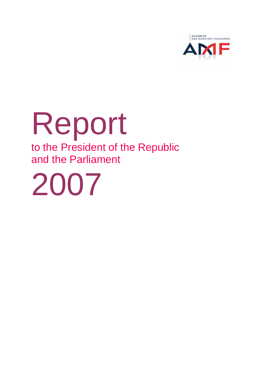

## Report to the President of the Republic and the Parliament

2007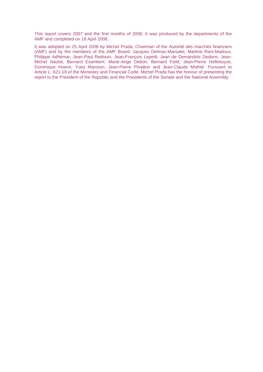This report covers 2007 and the first months of 2008. It was produced by the departments of the AMF and completed on 18 April 2008.

It was adopted on 25 April 2008 by Michel Prada, Chairman of the Autorité des marchés financiers (AMF) and by the members of the AMF Board: Jacques Delmas-Marsalet, Martine Ract-Madoux, Philippe Adhémar, Jean-Paul Redouin, Jean-François Lepetit, Jean de Demandolx Dedons, Jean-Michel Naulot, Bernard Esambert, Marie-Ange Debon, Bernard Field, Jean-Pierre Hellebuyck, Dominique Hoenn, Yves Mansion, Jean-Pierre Pinatton and Jean-Claude Mothié. Pursuant to Article L. 621-19 of the Monetary and Financial Code, Michel Prada has the honour of presenting the report to the President of the Republic and the Presidents of the Senate and the National Assembly.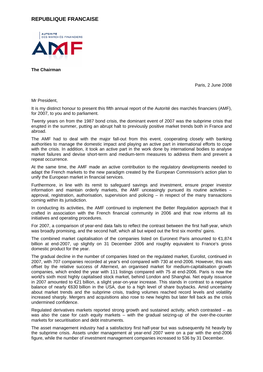## **REPUBLIQUE FRANCAISE**



**The Chairman** 

Paris, 2 June 2008

Mr President,

It is my distinct honour to present this fifth annual report of the Autorité des marchés financiers (AMF), for 2007, to you and to parliament.

Twenty years on from the 1987 bond crisis, the dominant event of 2007 was the subprime crisis that erupted in the summer, putting an abrupt halt to previously positive market trends both in France and abroad.

The AMF had to deal with the major fall-out from this event, cooperating closely with banking authorities to manage the domestic impact and playing an active part in international efforts to cope with the crisis. In addition, it took an active part in the work done by international bodies to analyse market failures and devise short-term and medium-term measures to address them and prevent a repeat occurrence.

At the same time, the AMF made an active contribution to the regulatory developments needed to adapt the French markets to the new paradigm created by the European Commission's action plan to unify the European market in financial services.

Furthermore, in line with its remit to safeguard savings and investment, ensure proper investor information and maintain orderly markets, the AMF unceasingly pursued its routine activities – approval, registration, authorisation, supervision and policing – in respect of the many transactions coming within its jurisdiction.

In conducting its activities, the AMF continued to implement the Better Regulation approach that it crafted in association with the French financial community in 2006 and that now informs all its initiatives and operating procedures.

For 2007, a comparison of year-end data fails to reflect the contrast between the first half-year, which was broadly promising, and the second half, which all but wiped out the first six months' gains.

The combined market capitalisation of the companies listed on Euronext Paris amounted to €1,874 billion at end-2007, up slightly on 31 December 2006 and roughly equivalent to France's gross domestic product for the year.

The gradual decline in the number of companies listed on the regulated market, Eurolist, continued in 2007, with 707 companies recorded at year's end compared with 730 at end-2006. However, this was offset by the relative success of Alternext, an organised market for medium-capitalisation growth companies, which ended the year with 111 listings compared with 75 at end-2006. Paris is now the world's sixth most highly capitalised stock market, behind London and Shanghai. Net equity issuance in 2007 amounted to €21 billion, a slight year-on-year increase. This stands in contrast to a negative balance of nearly €630 billion in the USA, due to a high level of share buybacks. Amid uncertainty about market trends and the subprime crisis, trading volumes reached record levels and volatility increased sharply. Mergers and acquisitions also rose to new heights but later fell back as the crisis undermined confidence.

Regulated derivatives markets reported strong growth and sustained activity, which contrasted – as was also the case for cash equity markets – with the gradual seizing-up of the over-the-counter markets for securitisation and debt instruments.

The asset management industry had a satisfactory first half-year but was subsequently hit heavily by the subprime crisis. Assets under management at year-end 2007 were on a par with the end-2006 figure, while the number of investment management companies increased to 536 by 31 December.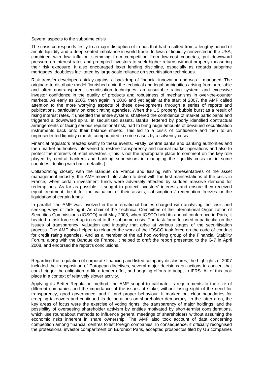## Several aspects to the subprime crisis

The crisis corresponds firstly to a major disruption of trends that had resulted from a lengthy period of ample liquidity and a deep-seated imbalance in world trade. Inflows of liquidity reinvested in the USA, combined with low inflation stemming from competition from low-cost countries, put downward pressure on interest rates and prompted investors to seek higher returns without properly measuring their risk exposure. It also encouraged laxer lending discipline, especially as regards subprime mortgages, doubtless facilitated by large-scale reliance on securitisation techniques.

Risk transfer developed quickly against a backdrop of financial innovation and was ill-managed. The originate-to-distribute model flourished amid the technical and legal ambiguities arising from unreliable and often nontransparent securitisation techniques, an unsuitable rating system, and excessive investor confidence in the quality of products and robustness of mechanisms in over-the-counter markets. As early as 2005, then again in 2006 and yet again at the start of 2007, the AMF called attention to the more worrying aspects of these developments through a series of reports and publications, particularly on credit rating agencies. When the US property bubble burst as a result of rising interest rates, it unsettled the entire system, shattered the confidence of market participants and triggered a downward spiral in securitised assets. Banks, fettered by poorly identified contractual arrangements or facing serious reputational risk, had to bring huge amounts of devalued securitisation instruments back onto their balance sheets. This led to a crisis of confidence and then to an unprecedented liquidity crunch, compounded in some cases by a solvency crisis.

Financial regulators reacted swiftly to these events. Firstly, central banks and banking authorities and then market authorities intervened to restore transparency and normal market operations and also to protect the interests of retail investors. (This is not the appropriate place to comment on the key role played by central bankers and banking supervisors in managing the liquidity crisis or, in some countries, dealing with bank defaults.)

Collaborating closely with the Banque de France and liaising with representatives of the asset management industry, the AMF moved into action to deal with the first manifestations of the crisis in France, when certain investment funds were adversely affected by sudden massive demand for redemptions. As far as possible, it sought to protect investors' interests and ensure they received equal treatment, be it for the valuation of their assets, subscription / redemption freezes or the liquidation of certain funds.

In parallel, the AMF was involved in the international bodies charged with analysing the crisis and seeking ways of tackling it. As chair of the Technical Committee of the International Organization of Securities Commissions (IOSCO) until May 2008, when IOSCO held its annual conference in Paris, it headed a task force set up to react to the subprime crisis. The task force focused in particular on the issues of transparency, valuation and integrity that arise at various stages of the securitisation process. The AMF also helped to relaunch the work of the IOSCO task force on the code of conduct for credit rating agencies. And as a member of the ad hoc working group of the Financial Stability Forum, along with the Banque de France, it helped to draft the report presented to the G-7 in April 2008, and endorsed the report's conclusions.

Regarding the regulation of corporate financing and listed company disclosures, the highlights of 2007 included the transposition of European directives, several major decisions on actions in concert that could trigger the obligation to file a tender offer, and ongoing efforts to adapt to IFRS. All of this took place in a context of relatively slower activity.

Applying its Better Regulation method, the AMF sought to calibrate its requirements to the size of different companies and the importance of the issues at stake, without losing sight of the need for transparency, good governance, and fit and proper behaviour. It marked out clear boundaries for creeping takeovers and continued its deliberations on shareholder democracy. In the latter area, the key areas of focus were the exercise of voting rights, the transparency of major holdings, and the possibility of overseeing shareholder activism by entities motivated by short-termist considerations, which use roundabout methods to influence general meetings of shareholders without assuming the economic risks inherent in share ownership. The AMF also took account of data concerning competition among financial centres to list foreign companies. In consequence, it officially recognised the professional investor compartment on Euronext Paris, accepted prospectus filed by US companies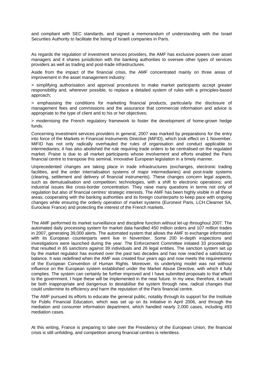and compliant with SEC standards, and signed a memorandum of understanding with the Israel Securities Authority to facilitate the listing of Israeli companies in Paris.

As regards the regulation of investment services providers, the AMF has exclusive powers over asset managers and it shares jurisdiction with the banking authorities to oversee other types of services providers as well as trading and post-trade infrastructures.

Aside from the impact of the financial crisis, the AMF concentrated mainly on three areas of improvement in the asset management industry:

> simplifying authorisation and approval procedures to make market participants accept greater responsibility and, wherever possible, to replace a detailed system of rules with a principles-based approach;

> emphasising the conditions for marketing financial products, particularly the disclosure of management fees and commissions and the assurance that commercial information and advice is appropriate to the type of client and to his or her objectives;

> modernising the French regulatory framework to foster the development of home-grown hedge funds.

Concerning investment services providers in general, 2007 was marked by preparations for the entry into force of the Markets in Financial Instruments Directive (MiFID), which took effect on 1 November. MiFID has not only radically overhauled the rules of organisation and conduct applicable to intermediaries; it has also abolished the rule requiring trade orders to be centralised on the regulated market. Praise is due to all market participants whose involvement and efforts enabled the Paris financial centre to transpose this seminal, innovative European legislation in a timely manner.

Unprecedented changes are taking place in trade infrastructures (exchanges, electronic trading facilities, and the order internalisation systems of major intermediaries) and post-trade systems (clearing, settlement and delivery of financial instruments). These changes concern legal aspects, such as demutualisation and competition; technologies, with a shift to electronic operations; and industrial issues like cross-border concentration. They raise many questions in terms not only of regulation but also of financial centres' strategic interests. The AMF has been highly visible in all these areas, cooperating with the banking authorities and its foreign counterparts to keep pace with ongoing changes while ensuring the orderly operation of market systems (Euronext Paris, LCH.Clearnet SA, Euroclear France) and protecting the interest of the French markets.

The AMF performed its market surveillance and discipline function without let-up throughout 2007. The automated daily processing system for market data handled 450 million orders and 107 million trades in 2007, generating 39,000 alerts. The automated system that allows the AMF to exchange information with its European counterparts went live in November. Some 200 in-depth inspections and investigations were launched during the year. The Enforcement Committee initiated 33 proceedings that resulted in 65 sanctions against 39 individuals and 26 legal entities. The sanction system set up by the market regulator has evolved over the past two decades and has now reached a satisfactory balance. It was redefined when the AMF was created four years ago and now meets the requirements of the European Convention of Human Rights. Moreover, its underlying model was not without influence on the European system established under the Market Abuse Directive, with which it fully complies. The system can certainly be further improved and I have submitted proposals to that effect to the government. I hope these will be implemented in the near future. In my view, therefore, it would be both inappropriate and dangerous to destabilise the system through new, radical changes that could undermine its efficiency and harm the reputation of the Paris financial centre.

The AMF pursued its efforts to educate the general public, notably through its support for the Institute for Public Financial Education, which was set up on its initiative in April 2006, and through the mediation and consumer information department, which handled nearly 2,000 cases, including 493 mediation cases.

At this writing, France is preparing to take over the Presidency of the European Union, the financial crisis is still unfolding, and competition among financial centres is relentless.